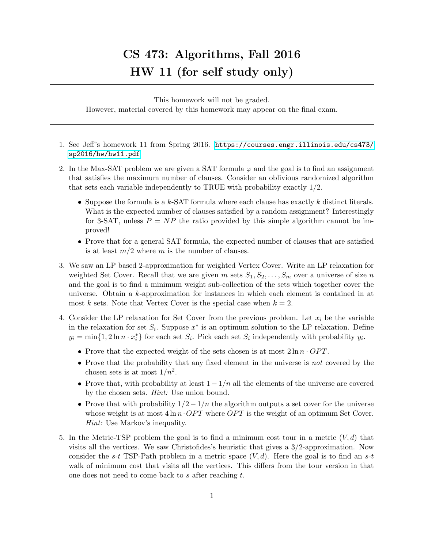## CS 473: Algorithms, Fall 2016 HW 11 (for self study only)

This homework will not be graded. However, material covered by this homework may appear on the final exam.

- 1. See Jeff's homework 11 from Spring 2016. [https://courses.engr.illinois.edu/cs473/](https://courses.engr.illinois.edu/cs473/sp2016/hw/hw11.pdf) [sp2016/hw/hw11.pdf](https://courses.engr.illinois.edu/cs473/sp2016/hw/hw11.pdf)
- 2. In the Max-SAT problem we are given a SAT formula  $\varphi$  and the goal is to find an assignment that satisfies the maximum number of clauses. Consider an oblivious randomized algorithm that sets each variable independently to TRUE with probability exactly  $1/2$ .
	- Suppose the formula is a  $k$ -SAT formula where each clause has exactly k distinct literals. What is the expected number of clauses satisfied by a random assignment? Interestingly for 3-SAT, unless  $P = NP$  the ratio provided by this simple algorithm cannot be improved!
	- Prove that for a general SAT formula, the expected number of clauses that are satisfied is at least  $m/2$  where m is the number of clauses.
- 3. We saw an LP based 2-approximation for weighted Vertex Cover. Write an LP relaxation for weighted Set Cover. Recall that we are given m sets  $S_1, S_2, \ldots, S_m$  over a universe of size n and the goal is to find a minimum weight sub-collection of the sets which together cover the universe. Obtain a k-approximation for instances in which each element is contained in at most k sets. Note that Vertex Cover is the special case when  $k = 2$ .
- 4. Consider the LP relaxation for Set Cover from the previous problem. Let  $x_i$  be the variable in the relaxation for set  $S_i$ . Suppose  $x^*$  is an optimum solution to the LP relaxation. Define  $y_i = \min\{1, 2\ln n \cdot x_i^*\}$  for each set  $S_i$ . Pick each set  $S_i$  independently with probability  $y_i$ .
	- Prove that the expected weight of the sets chosen is at most  $2 \ln n \cdot OPT$ .
	- Prove that the probability that any fixed element in the universe is not covered by the chosen sets is at most  $1/n^2$ .
	- Prove that, with probability at least  $1 1/n$  all the elements of the universe are covered by the chosen sets. Hint: Use union bound.
	- Prove that with probability  $1/2-1/n$  the algorithm outputs a set cover for the universe whose weight is at most  $4 \ln n \cdot OPT$  where *OPT* is the weight of an optimum Set Cover. Hint: Use Markov's inequality.
- 5. In the Metric-TSP problem the goal is to find a minimum cost tour in a metric  $(V, d)$  that visits all the vertices. We saw Christofides's heuristic that gives a 3/2-approximation. Now consider the s-t TSP-Path problem in a metric space  $(V, d)$ . Here the goal is to find an s-t walk of minimum cost that visits all the vertices. This differs from the tour version in that one does not need to come back to  $s$  after reaching  $t$ .